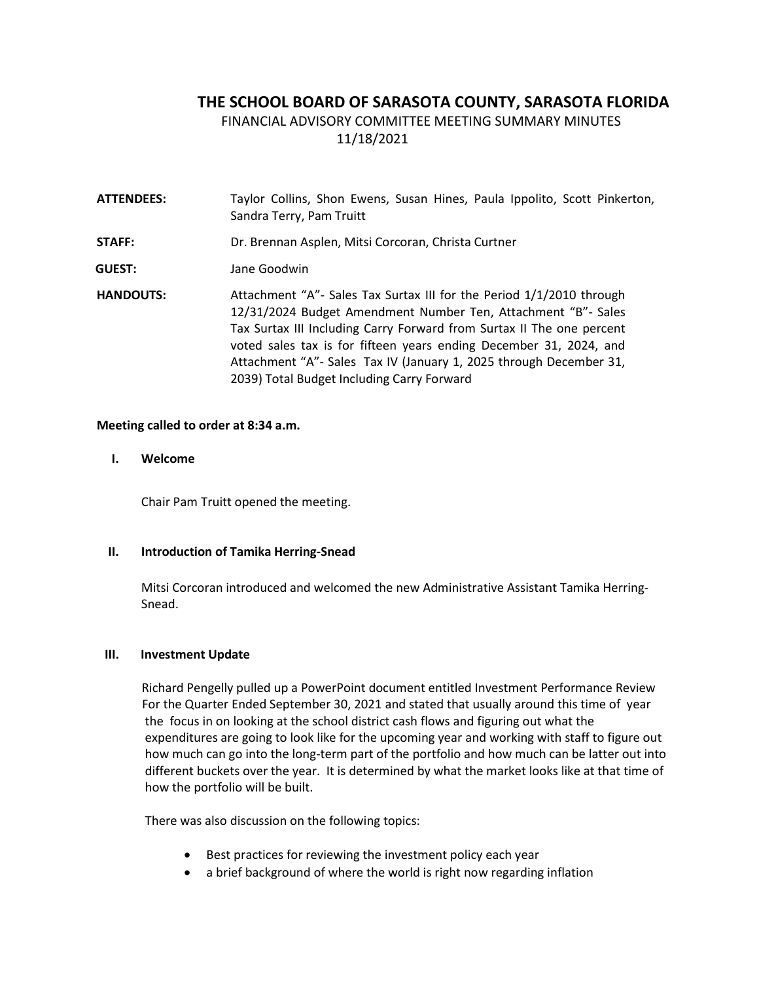# **THE SCHOOL BOARD OF SARASOTA COUNTY, SARASOTA FLORIDA**

FINANCIAL ADVISORY COMMITTEE MEETING SUMMARY MINUTES 11/18/2021

**ATTENDEES:** Taylor Collins, Shon Ewens, Susan Hines, Paula Ippolito, Scott Pinkerton, Sandra Terry, Pam Truitt **STAFF:** Dr. Brennan Asplen, Mitsi Corcoran, Christa Curtner **GUEST:** Jane Goodwin **HANDOUTS:** Attachment "A"- Sales Tax Surtax III for the Period 1/1/2010 through 12/31/2024 Budget Amendment Number Ten, Attachment "B"- Sales Tax Surtax III Including Carry Forward from Surtax II The one percent voted sales tax is for fifteen years ending December 31, 2024, and Attachment "A"- Sales Tax IV (January 1, 2025 through December 31, 2039) Total Budget Including Carry Forward

#### **Meeting called to order at 8:34 a.m.**

#### **I. Welcome**

Chair Pam Truitt opened the meeting.

### **II. Introduction of Tamika Herring-Snead**

Mitsi Corcoran introduced and welcomed the new Administrative Assistant Tamika Herring-Snead.

#### **III. Investment Update**

Richard Pengelly pulled up a PowerPoint document entitled Investment Performance Review For the Quarter Ended September 30, 2021 and stated that usually around this time of year the focus in on looking at the school district cash flows and figuring out what the expenditures are going to look like for the upcoming year and working with staff to figure out how much can go into the long-term part of the portfolio and how much can be latter out into different buckets over the year. It is determined by what the market looks like at that time of how the portfolio will be built.

There was also discussion on the following topics:

- Best practices for reviewing the investment policy each year
- a brief background of where the world is right now regarding inflation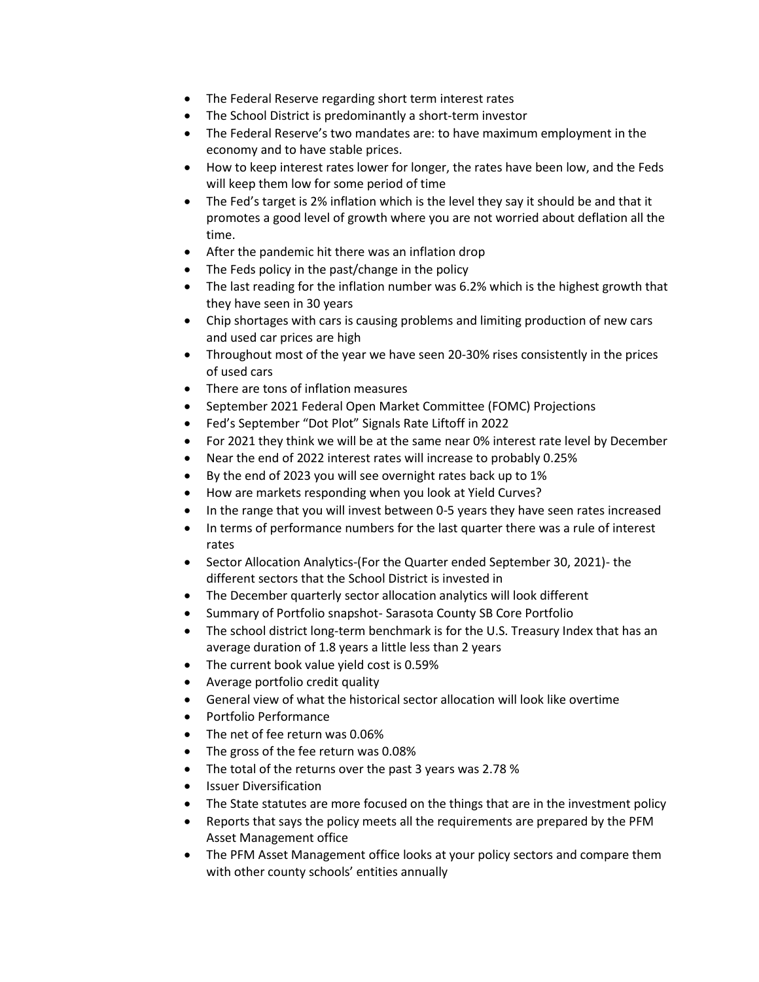- The Federal Reserve regarding short term interest rates
- The School District is predominantly a short-term investor
- The Federal Reserve's two mandates are: to have maximum employment in the economy and to have stable prices.
- How to keep interest rates lower for longer, the rates have been low, and the Feds will keep them low for some period of time
- The Fed's target is 2% inflation which is the level they say it should be and that it promotes a good level of growth where you are not worried about deflation all the time.
- After the pandemic hit there was an inflation drop
- The Feds policy in the past/change in the policy
- The last reading for the inflation number was 6.2% which is the highest growth that they have seen in 30 years
- Chip shortages with cars is causing problems and limiting production of new cars and used car prices are high
- Throughout most of the year we have seen 20-30% rises consistently in the prices of used cars
- There are tons of inflation measures
- September 2021 Federal Open Market Committee (FOMC) Projections
- Fed's September "Dot Plot" Signals Rate Liftoff in 2022
- For 2021 they think we will be at the same near 0% interest rate level by December
- Near the end of 2022 interest rates will increase to probably 0.25%
- By the end of 2023 you will see overnight rates back up to 1%
- How are markets responding when you look at Yield Curves?
- In the range that you will invest between 0-5 years they have seen rates increased
- In terms of performance numbers for the last quarter there was a rule of interest rates
- Sector Allocation Analytics-(For the Quarter ended September 30, 2021)- the different sectors that the School District is invested in
- The December quarterly sector allocation analytics will look different
- Summary of Portfolio snapshot- Sarasota County SB Core Portfolio
- The school district long-term benchmark is for the U.S. Treasury Index that has an average duration of 1.8 years a little less than 2 years
- The current book value yield cost is 0.59%
- Average portfolio credit quality
- General view of what the historical sector allocation will look like overtime
- Portfolio Performance
- The net of fee return was 0.06%
- The gross of the fee return was 0.08%
- The total of the returns over the past 3 years was 2.78 %
- Issuer Diversification
- The State statutes are more focused on the things that are in the investment policy
- Reports that says the policy meets all the requirements are prepared by the PFM Asset Management office
- The PFM Asset Management office looks at your policy sectors and compare them with other county schools' entities annually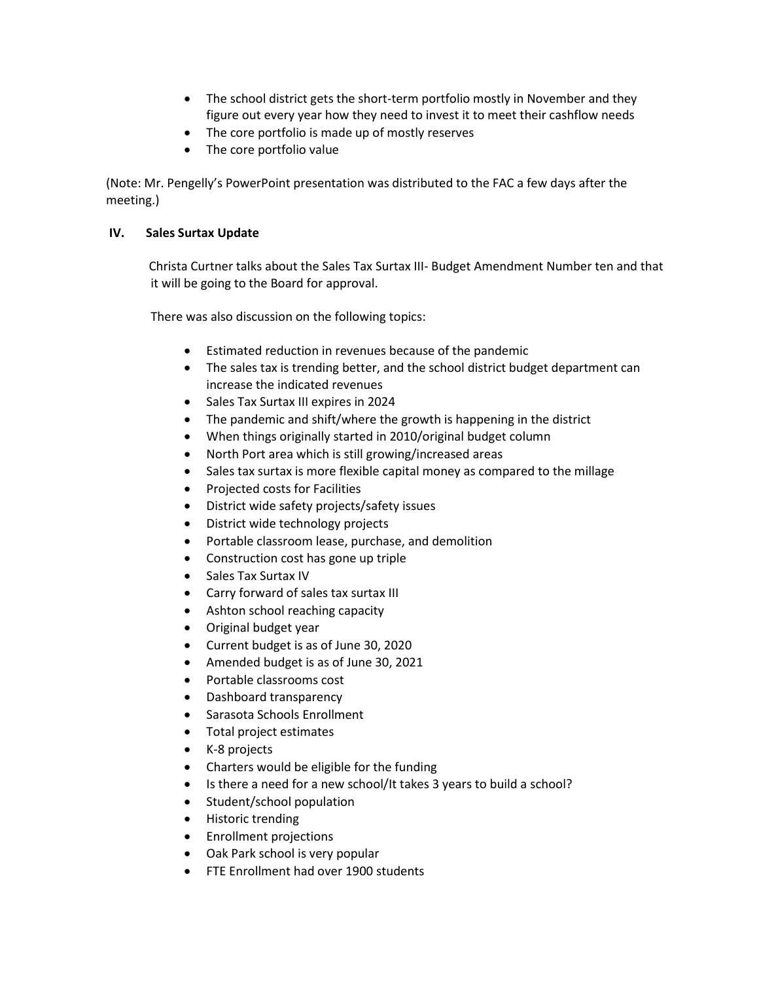- The school district gets the short-term portfolio mostly in November and they figure out every year how they need to invest it to meet their cashflow needs
- The core portfolio is made up of mostly reserves
- The core portfolio value

(Note: Mr. Pengelly's PowerPoint presentation was distributed to the FAC a few days after the meeting.)

### **IV. Sales Surtax Update**

 Christa Curtner talks about the Sales Tax Surtax III- Budget Amendment Number ten and that it will be going to the Board for approval.

There was also discussion on the following topics:

- Estimated reduction in revenues because of the pandemic
- The sales tax is trending better, and the school district budget department can increase the indicated revenues
- Sales Tax Surtax III expires in 2024
- The pandemic and shift/where the growth is happening in the district
- When things originally started in 2010/original budget column
- North Port area which is still growing/increased areas
- Sales tax surtax is more flexible capital money as compared to the millage
- Projected costs for Facilities
- District wide safety projects/safety issues
- District wide technology projects
- Portable classroom lease, purchase, and demolition
- Construction cost has gone up triple
- Sales Tax Surtax IV
- Carry forward of sales tax surtax III
- Ashton school reaching capacity
- Original budget year
- Current budget is as of June 30, 2020
- Amended budget is as of June 30, 2021
- Portable classrooms cost
- Dashboard transparency
- Sarasota Schools Enrollment
- Total project estimates
- K-8 projects
- Charters would be eligible for the funding
- Is there a need for a new school/It takes 3 years to build a school?
- Student/school population
- Historic trending
- Enrollment projections
- Oak Park school is very popular
- FTE Enrollment had over 1900 students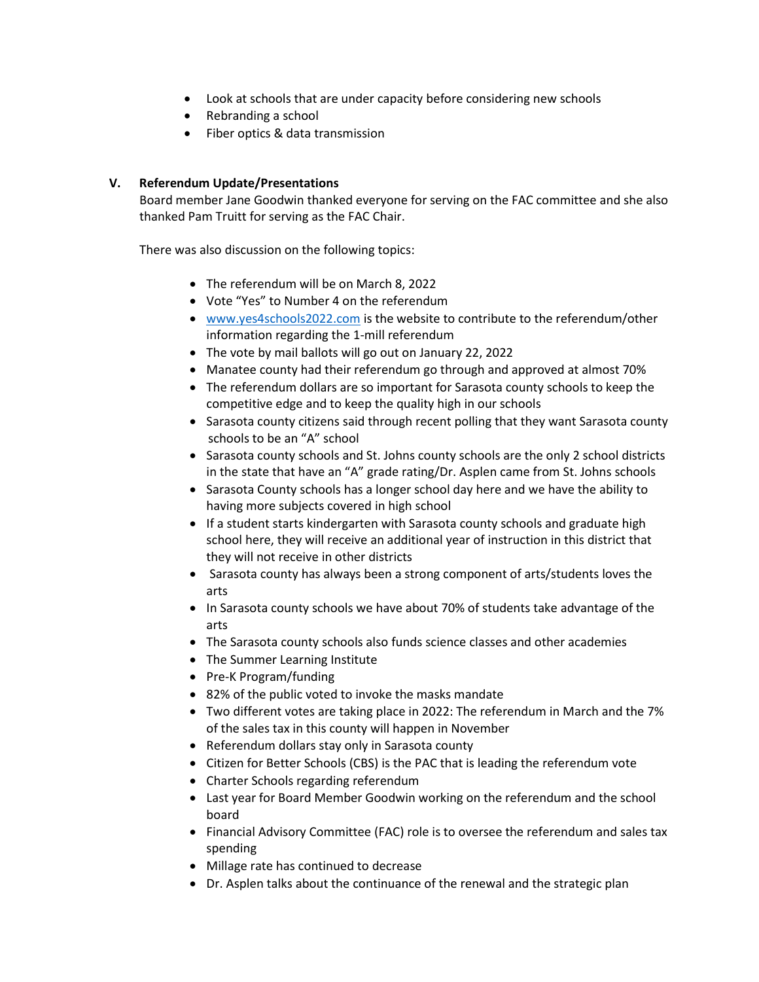- Look at schools that are under capacity before considering new schools
- Rebranding a school
- Fiber optics & data transmission

## **V. Referendum Update/Presentations**

Board member Jane Goodwin thanked everyone for serving on the FAC committee and she also thanked Pam Truitt for serving as the FAC Chair.

There was also discussion on the following topics:

- The referendum will be on March 8, 2022
- Vote "Yes" to Number 4 on the referendum
- [www.yes4schools2022.com](http://www.yes4schools2022.com/) is the website to contribute to the referendum/other information regarding the 1-mill referendum
- The vote by mail ballots will go out on January 22, 2022
- Manatee county had their referendum go through and approved at almost 70%
- The referendum dollars are so important for Sarasota county schools to keep the competitive edge and to keep the quality high in our schools
- Sarasota county citizens said through recent polling that they want Sarasota county schools to be an "A" school
- Sarasota county schools and St. Johns county schools are the only 2 school districts in the state that have an "A" grade rating/Dr. Asplen came from St. Johns schools
- Sarasota County schools has a longer school day here and we have the ability to having more subjects covered in high school
- If a student starts kindergarten with Sarasota county schools and graduate high school here, they will receive an additional year of instruction in this district that they will not receive in other districts
- Sarasota county has always been a strong component of arts/students loves the arts
- In Sarasota county schools we have about 70% of students take advantage of the arts
- The Sarasota county schools also funds science classes and other academies
- The Summer Learning Institute
- Pre-K Program/funding
- 82% of the public voted to invoke the masks mandate
- Two different votes are taking place in 2022: The referendum in March and the 7% of the sales tax in this county will happen in November
- Referendum dollars stay only in Sarasota county
- Citizen for Better Schools (CBS) is the PAC that is leading the referendum vote
- Charter Schools regarding referendum
- Last year for Board Member Goodwin working on the referendum and the school board
- Financial Advisory Committee (FAC) role is to oversee the referendum and sales tax spending
- Millage rate has continued to decrease
- Dr. Asplen talks about the continuance of the renewal and the strategic plan